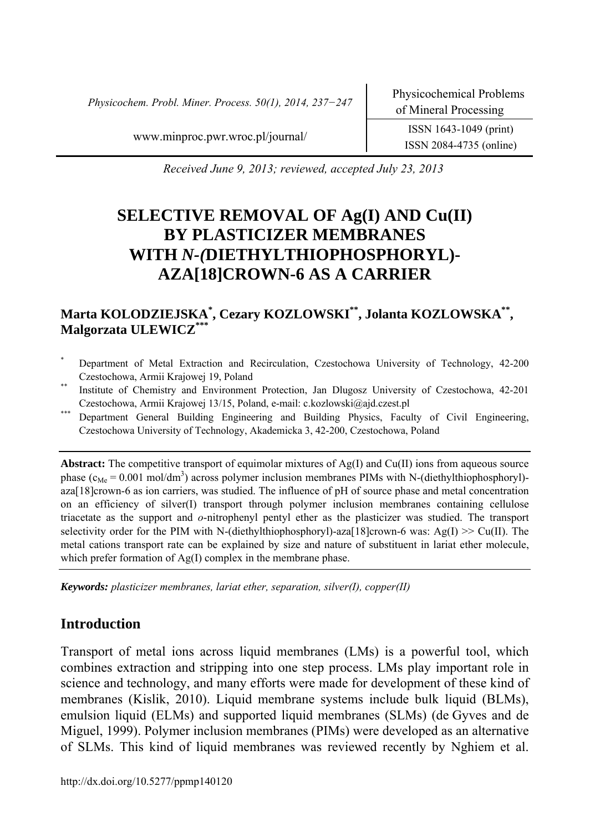*Physicochem. Probl. Miner. Process. 50(1), 2014, 237−247* Physicochemical Problems

ISSN 2084-4735 (online)

www.minproc.pwr.wroc.pl/journal/ ISSN 1643-1049 (print)

*Received June 9, 2013; reviewed, accepted July 23, 2013* 

# **SELECTIVE REMOVAL OF Ag(I) AND Cu(II) BY PLASTICIZER MEMBRANES WITH** *N-(***DIETHYLTHIOPHOSPHORYL)- AZA[18]CROWN-6 AS A CARRIER**

# **Marta KOLODZIEJSKA\* , Cezary KOZLOWSKI\*\*, Jolanta KOZLOWSKA\*\*, Malgorzata ULEWICZ\***

- Department of Metal Extraction and Recirculation, Czestochowa University of Technology, 42-200
- Czestochowa, Armii Krajowej 19, Poland<br>Institute of Chemistry and Environment Protection, Jan Dlugosz University of Czestochowa, 42-201
- Czestochowa, Armii Krajowej 13/15, Poland, e-mail: c.kozlowski@ajd.czest.pl<br>Department General Building Engineering and Building Physics, Faculty of Civil Engineering, Czestochowa University of Technology, Akademicka 3, 42-200, Czestochowa, Poland

**Abstract:** The competitive transport of equimolar mixtures of Ag(I) and Cu(II) ions from aqueous source phase  $(c_{Me} = 0.001 \text{ mol/dm}^3)$  across polymer inclusion membranes PIMs with N-(diethylthiophosphoryl)aza[18]crown-6 as ion carriers, was studied. The influence of pH of source phase and metal concentration on an efficiency of silver(I) transport through polymer inclusion membranes containing cellulose triacetate as the support and *o*-nitrophenyl pentyl ether as the plasticizer was studied. The transport selectivity order for the PIM with N-(diethylthiophosphoryl)-aza[18]crown-6 was: Ag(I)  $\gg$  Cu(II). The metal cations transport rate can be explained by size and nature of substituent in lariat ether molecule, which prefer formation of Ag(I) complex in the membrane phase.

*Keywords: plasticizer membranes, lariat ether, separation, silver(I), copper(II)* 

# **Introduction**

Transport of metal ions across liquid membranes (LMs) is a powerful tool, which combines extraction and stripping into one step process. LMs play important role in science and technology, and many efforts were made for development of these kind of membranes (Kislik, 2010). Liquid membrane systems include bulk liquid (BLMs), emulsion liquid (ELMs) and supported liquid membranes (SLMs) (de Gyves and de Miguel, 1999). Polymer inclusion membranes (PIMs) were developed as an alternative of SLMs. This kind of liquid membranes was reviewed recently by Nghiem et al.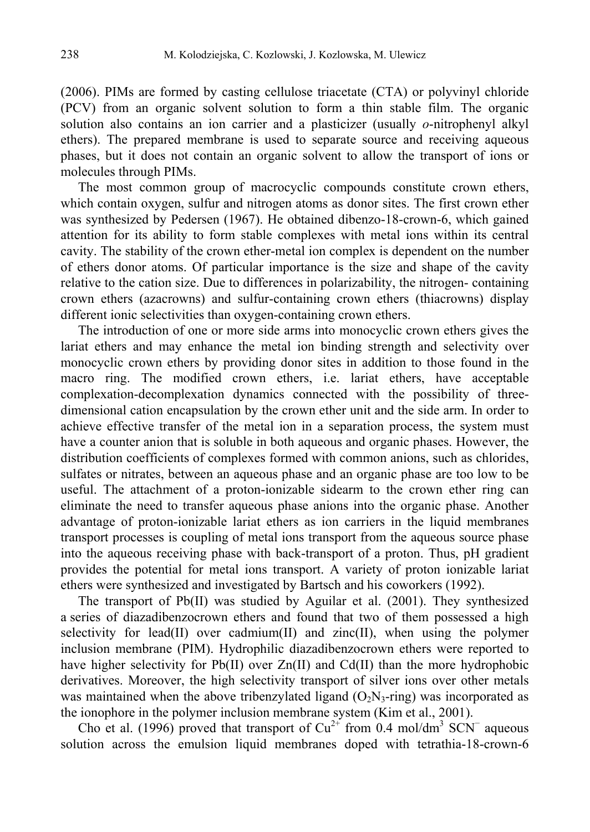(2006). PIMs are formed by casting cellulose triacetate (CTA) or polyvinyl chloride (PCV) from an organic solvent solution to form a thin stable film. The organic solution also contains an ion carrier and a plasticizer (usually *o*-nitrophenyl alkyl ethers). The prepared membrane is used to separate source and receiving aqueous phases, but it does not contain an organic solvent to allow the transport of ions or molecules through PIMs.

The most common group of macrocyclic compounds constitute crown ethers, which contain oxygen, sulfur and nitrogen atoms as donor sites. The first crown ether was synthesized by Pedersen (1967). He obtained dibenzo-18-crown-6, which gained attention for its ability to form stable complexes with metal ions within its central cavity. The stability of the crown ether-metal ion complex is dependent on the number of ethers donor atoms. Of particular importance is the size and shape of the cavity relative to the cation size. Due to differences in polarizability, the nitrogen- containing crown ethers (azacrowns) and sulfur-containing crown ethers (thiacrowns) display different ionic selectivities than oxygen-containing crown ethers.

The introduction of one or more side arms into monocyclic crown ethers gives the lariat ethers and may enhance the metal ion binding strength and selectivity over monocyclic crown ethers by providing donor sites in addition to those found in the macro ring. The modified crown ethers, i.e. lariat ethers, have acceptable complexation-decomplexation dynamics connected with the possibility of threedimensional cation encapsulation by the crown ether unit and the side arm. In order to achieve effective transfer of the metal ion in a separation process, the system must have a counter anion that is soluble in both aqueous and organic phases. However, the distribution coefficients of complexes formed with common anions, such as chlorides, sulfates or nitrates, between an aqueous phase and an organic phase are too low to be useful. The attachment of a proton-ionizable sidearm to the crown ether ring can eliminate the need to transfer aqueous phase anions into the organic phase. Another advantage of proton-ionizable lariat ethers as ion carriers in the liquid membranes transport processes is coupling of metal ions transport from the aqueous source phase into the aqueous receiving phase with back-transport of a proton. Thus, pH gradient provides the potential for metal ions transport. A variety of proton ionizable lariat ethers were synthesized and investigated by Bartsch and his coworkers (1992).

The transport of Pb(II) was studied by Aguilar et al. (2001). They synthesized a series of diazadibenzocrown ethers and found that two of them possessed a high selectivity for lead(II) over cadmium(II) and zinc(II), when using the polymer inclusion membrane (PIM). Hydrophilic diazadibenzocrown ethers were reported to have higher selectivity for  $Pb(II)$  over  $Zn(II)$  and  $Cd(II)$  than the more hydrophobic derivatives. Moreover, the high selectivity transport of silver ions over other metals was maintained when the above tribenzylated ligand  $(O<sub>2</sub>N<sub>3</sub>-ring)$  was incorporated as the ionophore in the polymer inclusion membrane system (Kim et al., 2001).

Cho et al. (1996) proved that transport of  $Cu^{2+}$  from 0.4 mol/dm<sup>3</sup> SCN<sup>-</sup> aqueous solution across the emulsion liquid membranes doped with tetrathia-18-crown-6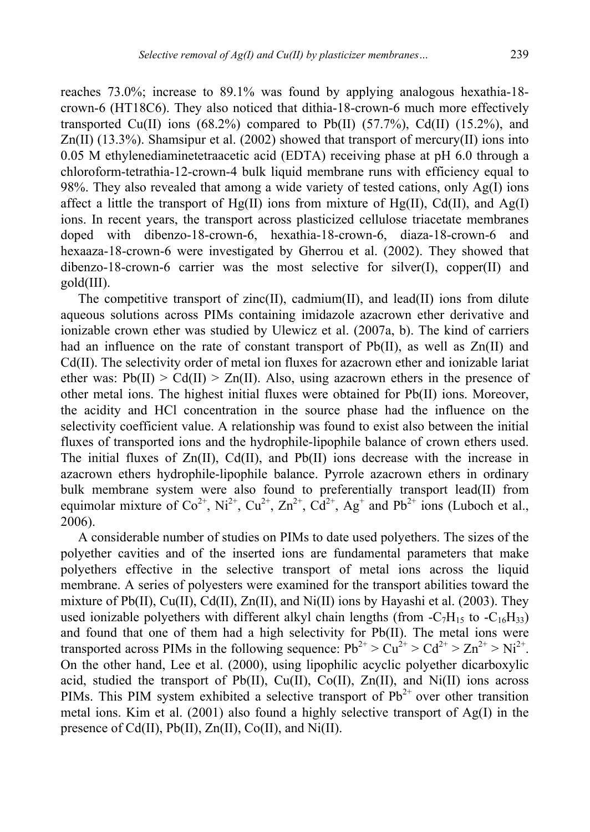reaches 73.0%; increase to 89.1% was found by applying analogous hexathia-18 crown-6 (HT18C6). They also noticed that dithia-18-crown-6 much more effectively transported Cu(II) ions  $(68.2\%)$  compared to Pb(II)  $(57.7\%)$ , Cd(II)  $(15.2\%)$ , and  $Zn(II)$  (13.3%). Shamsipur et al. (2002) showed that transport of mercury(II) ions into 0.05 M ethylenediaminetetraacetic acid (EDTA) receiving phase at pH 6.0 through a chloroform-tetrathia-12-crown-4 bulk liquid membrane runs with efficiency equal to 98%. They also revealed that among a wide variety of tested cations, only Ag(I) ions affect a little the transport of  $Hg(II)$  ions from mixture of  $Hg(II)$ , Cd(II), and Ag(I) ions. In recent years, the transport across plasticized cellulose triacetate membranes doped with dibenzo-18-crown-6, hexathia-18-crown-6, diaza-18-crown-6 and hexaaza-18-crown-6 were investigated by Gherrou et al. (2002). They showed that dibenzo-18-crown-6 carrier was the most selective for silver(I), copper $(II)$  and gold(III).

The competitive transport of zinc(II), cadmium(II), and lead(II) ions from dilute aqueous solutions across PIMs containing imidazole azacrown ether derivative and ionizable crown ether was studied by Ulewicz et al. (2007a, b). The kind of carriers had an influence on the rate of constant transport of  $Pb(II)$ , as well as  $Zn(II)$  and Cd(II). The selectivity order of metal ion fluxes for azacrown ether and ionizable lariat ether was:  $Pb(II) > Cd(II) > Zn(II)$ . Also, using azacrown ethers in the presence of other metal ions. The highest initial fluxes were obtained for Pb(II) ions. Moreover, the acidity and HCl concentration in the source phase had the influence on the selectivity coefficient value. A relationship was found to exist also between the initial fluxes of transported ions and the hydrophile-lipophile balance of crown ethers used. The initial fluxes of  $Zn(II)$ ,  $Cd(II)$ , and  $Pb(II)$  ions decrease with the increase in azacrown ethers hydrophile-lipophile balance. Pyrrole azacrown ethers in ordinary bulk membrane system were also found to preferentially transport lead(II) from equimolar mixture of  $Co^{2+}$ , Ni<sup>2+</sup>,  $Cu^{2+}$ ,  $Zn^{2+}$ ,  $Cd^{2+}$ , Ag<sup>+</sup> and Pb<sup>2+</sup> ions (Luboch et al., 2006).

A considerable number of studies on PIMs to date used polyethers. The sizes of the polyether cavities and of the inserted ions are fundamental parameters that make polyethers effective in the selective transport of metal ions across the liquid membrane. A series of polyesters were examined for the transport abilities toward the mixture of Pb(II), Cu(II), Cd(II), Zn(II), and Ni(II) ions by Hayashi et al. (2003). They used ionizable polyethers with different alkyl chain lengths (from  $-C_7H_{15}$  to  $-C_{16}H_{33}$ ) and found that one of them had a high selectivity for Pb(II). The metal ions were transported across PIMs in the following sequence:  $Pb^{2+} > Cu^{2+} > Cd^{2+} > Zn^{2+} > Ni^{2+}$ . On the other hand, Lee et al. (2000), using lipophilic acyclic polyether dicarboxylic acid, studied the transport of Pb(II), Cu(II), Co(II), Zn(II), and Ni(II) ions across PIMs. This PIM system exhibited a selective transport of  $Pb^{2+}$  over other transition metal ions. Kim et al. (2001) also found a highly selective transport of Ag(I) in the presence of Cd(II), Pb(II),  $Zn(II)$ , Co(II), and Ni(II).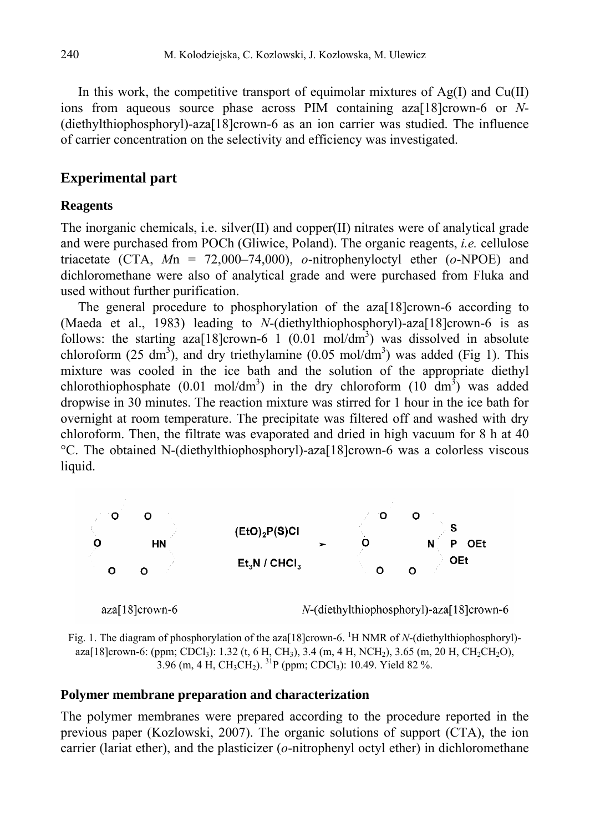In this work, the competitive transport of equimolar mixtures of  $Ag(I)$  and  $Cu(II)$ ions from aqueous source phase across PIM containing aza[18]crown-6 or *N*- (diethylthiophosphoryl)-aza[18]crown-6 as an ion carrier was studied. The influence of carrier concentration on the selectivity and efficiency was investigated.

# **Experimental part**

### **Reagents**

The inorganic chemicals, i.e. silver(II) and copper(II) nitrates were of analytical grade and were purchased from POCh (Gliwice, Poland). The organic reagents, *i.e.* cellulose triacetate (CTA, *M*n = 72,000–74,000), *o*-nitrophenyloctyl ether (*o*-NPOE) and dichloromethane were also of analytical grade and were purchased from Fluka and used without further purification.

The general procedure to phosphorylation of the aza[18]crown-6 according to (Maeda et al., 1983) leading to *N*-(diethylthiophosphoryl)-aza[18]crown-6 is as follows: the starting  $aza[18]$ crown-6 1 (0.01 mol/dm<sup>3</sup>) was dissolved in absolute chloroform  $(25 \text{ dm}^3)$ , and dry triethylamine  $(0.05 \text{ mol/dm}^3)$  was added (Fig 1). This mixture was cooled in the ice bath and the solution of the appropriate diethyl chlorothiophosphate (0.01 mol/dm<sup>3</sup>) in the dry chloroform (10 dm<sup>3</sup>) was added dropwise in 30 minutes. The reaction mixture was stirred for 1 hour in the ice bath for overnight at room temperature. The precipitate was filtered off and washed with dry chloroform. Then, the filtrate was evaporated and dried in high vacuum for 8 h at 40 °С. The obtained N-(diethylthiophosphoryl)-aza[18]crown-6 was a colorless viscous liquid.



Fig. 1. The diagram of phosphorylation of the aza<sup>[18]</sup>crown-6. <sup>1</sup>H NMR of *N*-(diethylthiophosphoryl)aza[18]crown-6: (ppm; CDCl<sub>3</sub>): 1.32 (t, 6 H, CH<sub>3</sub>), 3.4 (m, 4 H, NCH<sub>2</sub>), 3.65 (m, 20 H, CH<sub>2</sub>CH<sub>2</sub>O), 3.96 (m, 4 H, CH<sub>3</sub>CH<sub>2</sub>). <sup>31</sup>P (ppm; CDCl<sub>3</sub>): 10.49. Yield 82 %.

## **Polymer membrane preparation and characterization**

The polymer membranes were prepared according to the procedure reported in the previous paper (Kozlowski, 2007). The organic solutions of support (CTA), the ion carrier (lariat ether), and the plasticizer (*o*-nitrophenyl octyl ether) in dichloromethane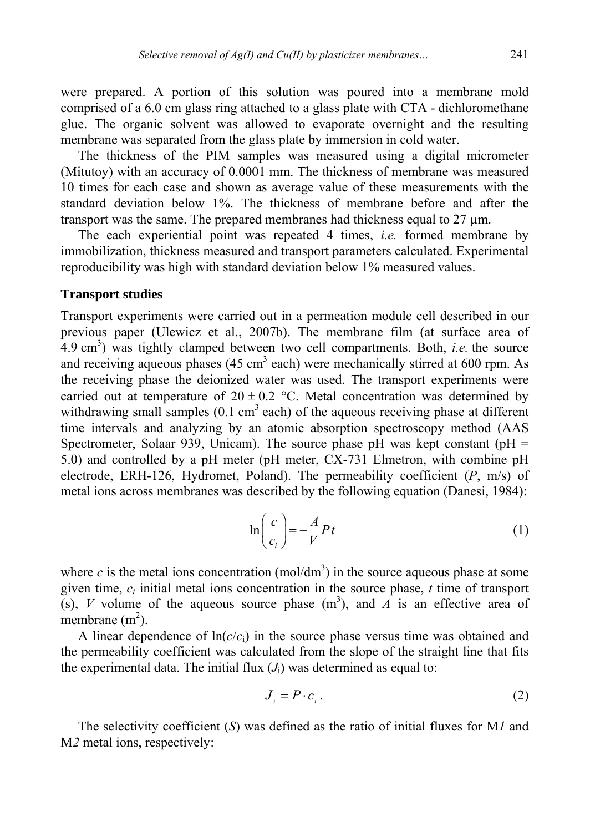were prepared. A portion of this solution was poured into a membrane mold comprised of a 6.0 cm glass ring attached to a glass plate with CTA - dichloromethane glue. The organic solvent was allowed to evaporate overnight and the resulting membrane was separated from the glass plate by immersion in cold water.

The thickness of the PIM samples was measured using a digital micrometer (Mitutoy) with an accuracy of 0.0001 mm. The thickness of membrane was measured 10 times for each case and shown as average value of these measurements with the standard deviation below 1%. The thickness of membrane before and after the transport was the same. The prepared membranes had thickness equal to 27  $\mu$ m.

The each experiential point was repeated 4 times, *i.e.* formed membrane by immobilization, thickness measured and transport parameters calculated. Experimental reproducibility was high with standard deviation below 1% measured values.

#### **Transport studies**

Transport experiments were carried out in a permeation module cell described in our previous paper (Ulewicz et al., 2007b). The membrane film (at surface area of  $(4.9 \text{ cm}^3)$  was tightly clamped between two cell compartments. Both, *i.e.* the source and receiving aqueous phases (45 cm<sup>3</sup> each) were mechanically stirred at 600 rpm. As the receiving phase the deionized water was used. The transport experiments were carried out at temperature of  $20 \pm 0.2$  °C. Metal concentration was determined by withdrawing small samples  $(0.1 \text{ cm}^3 \text{ each})$  of the aqueous receiving phase at different time intervals and analyzing by an atomic absorption spectroscopy method (AAS Spectrometer, Solaar 939, Unicam). The source phase pH was kept constant ( $pH =$ 5.0) and controlled by a pH meter (pH meter, CX-731 Elmetron, with combine pH electrode, ERH-126, Hydromet, Poland). The permeability coefficient (*P*, m/s) of metal ions across membranes was described by the following equation (Danesi, 1984):

$$
\ln\left(\frac{c}{c_i}\right) = -\frac{A}{V}Pt\tag{1}
$$

where *c* is the metal ions concentration (mol/dm<sup>3</sup>) in the source aqueous phase at some given time, *ci* initial metal ions concentration in the source phase, *t* time of transport (s), *V* volume of the aqueous source phase  $(m^3)$ , and *A* is an effective area of membrane  $(m<sup>2</sup>)$ .

A linear dependence of  $ln(c/c<sub>i</sub>)$  in the source phase versus time was obtained and the permeability coefficient was calculated from the slope of the straight line that fits the experimental data. The initial flux  $(J<sub>i</sub>)$  was determined as equal to:

$$
J_i = P \cdot c_i. \tag{2}
$$

The selectivity coefficient (*S*) was defined as the ratio of initial fluxes for M*1* and M*2* metal ions, respectively: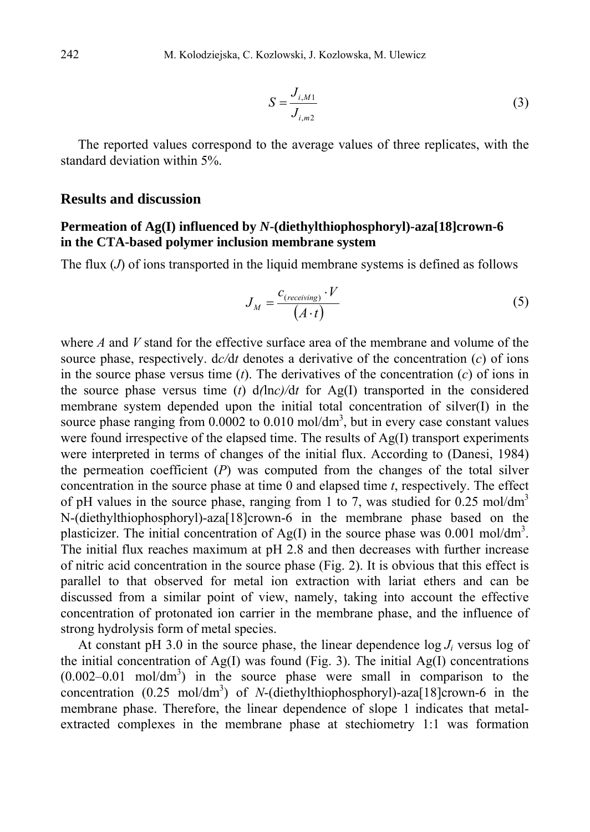$$
S = \frac{J_{i,M1}}{J_{i,m2}}
$$
 (3)

The reported values correspond to the average values of three replicates, with the standard deviation within 5%.

#### **Results and discussion**

## **Permeation of Ag(I) influenced by** *N***-(diethylthiophosphoryl)-aza[18]crown-6 in the CTA-based polymer inclusion membrane system**

The flux (*J*) of ions transported in the liquid membrane systems is defined as follows

$$
J_M = \frac{c_{(receiving)} \cdot V}{(A \cdot t)}
$$
(5)

where *A* and *V* stand for the effective surface area of the membrane and volume of the source phase, respectively. d*c/*d*t* denotes a derivative of the concentration (*c*) of ions in the source phase versus time  $(t)$ . The derivatives of the concentration  $(c)$  of ions in the source phase versus time  $(t)$  d $(\ln c)/dt$  for Ag(I) transported in the considered membrane system depended upon the initial total concentration of silver(I) in the source phase ranging from  $0.0002$  to  $0.010$  mol/dm<sup>3</sup>, but in every case constant values were found irrespective of the elapsed time. The results of Ag(I) transport experiments were interpreted in terms of changes of the initial flux. According to (Danesi, 1984) the permeation coefficient (*P*) was computed from the changes of the total silver concentration in the source phase at time 0 and elapsed time *t*, respectively. The effect of pH values in the source phase, ranging from 1 to 7, was studied for  $0.25 \text{ mol/dm}^3$ N-(diethylthiophosphoryl)-aza[18]crown-6 in the membrane phase based on the plasticizer. The initial concentration of Ag(I) in the source phase was 0.001 mol/dm<sup>3</sup>. The initial flux reaches maximum at pH 2.8 and then decreases with further increase of nitric acid concentration in the source phase (Fig. 2). It is obvious that this effect is parallel to that observed for metal ion extraction with lariat ethers and can be discussed from a similar point of view, namely, taking into account the effective concentration of protonated ion carrier in the membrane phase, and the influence of strong hydrolysis form of metal species.

At constant pH 3.0 in the source phase, the linear dependence  $\log J_i$  versus  $\log$  of the initial concentration of  $Ag(I)$  was found (Fig. 3). The initial  $Ag(I)$  concentrations  $(0.002-0.01 \text{ mol/dm}^3)$  in the source phase were small in comparison to the concentration (0.25 mol/dm<sup>3</sup>) of *N*-(diethylthiophosphoryl)-aza[18]crown-6 in the membrane phase. Therefore, the linear dependence of slope 1 indicates that metalextracted complexes in the membrane phase at stechiometry 1:1 was formation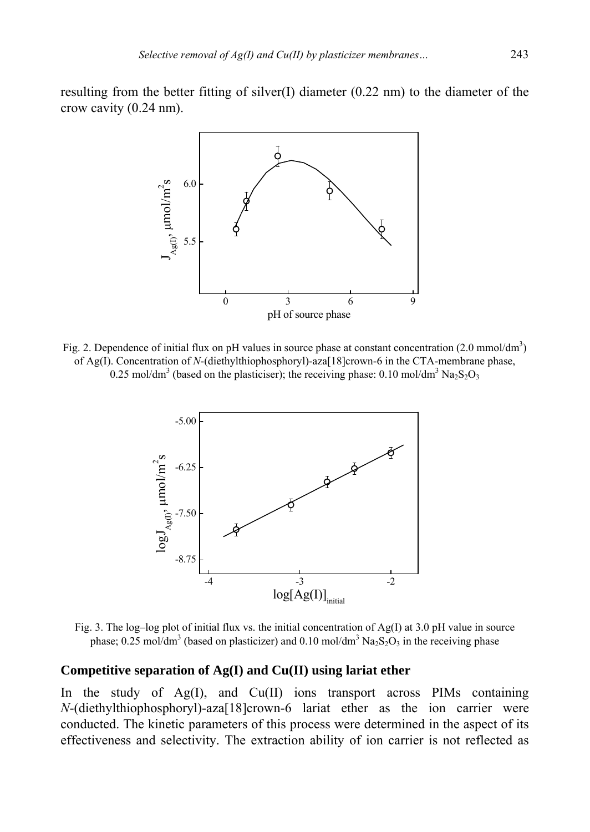resulting from the better fitting of silver(I) diameter  $(0.22 \text{ nm})$  to the diameter of the crow cavity (0.24 nm).



Fig. 2. Dependence of initial flux on pH values in source phase at constant concentration  $(2.0 \text{ mmol/dm}^3)$ of Ag(I). Concentration of *N*-(diethylthiophosphoryl)-aza[18]crown-6 in the CTA-membrane phase, 0.25 mol/dm<sup>3</sup> (based on the plasticiser); the receiving phase: 0.10 mol/dm<sup>3</sup> Na<sub>2</sub>S<sub>2</sub>O<sub>3</sub>



Fig. 3. The log–log plot of initial flux vs. the initial concentration of Ag(I) at 3.0 pH value in source phase; 0.25 mol/dm<sup>3</sup> (based on plasticizer) and 0.10 mol/dm<sup>3</sup>  $Na<sub>2</sub>S<sub>2</sub>O<sub>3</sub>$  in the receiving phase

#### **Competitive separation of Ag(I) and Cu(II) using lariat ether**

In the study of Ag(I), and Cu(II) ions transport across PIMs containing *N*-(diethylthiophosphoryl)-aza[18]crown-6 lariat ether as the ion carrier were conducted. The kinetic parameters of this process were determined in the aspect of its effectiveness and selectivity. The extraction ability of ion carrier is not reflected as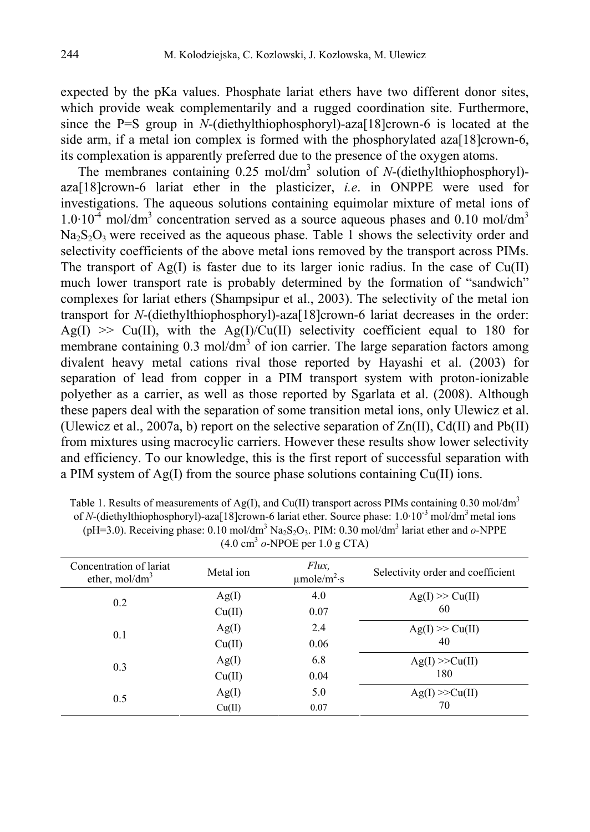expected by the pKa values. Phosphate lariat ethers have two different donor sites, which provide weak complementarily and a rugged coordination site. Furthermore, since the P=S group in *N*-(diethylthiophosphoryl)-aza[18]crown-6 is located at the side arm, if a metal ion complex is formed with the phosphorylated aza[18]crown-6, its complexation is apparently preferred due to the presence of the oxygen atoms.

The membranes containing 0.25 mol/dm<sup>3</sup> solution of *N*-(diethylthiophosphoryl)aza[18]crown-6 lariat ether in the plasticizer, *i.e*. in ONPPE were used for investigations. The aqueous solutions containing equimolar mixture of metal ions of  $1.0 \cdot 10^{-4}$  mol/dm<sup>3</sup> concentration served as a source aqueous phases and 0.10 mol/dm<sup>3</sup>  $Na<sub>2</sub>S<sub>2</sub>O<sub>3</sub>$  were received as the aqueous phase. Table 1 shows the selectivity order and selectivity coefficients of the above metal ions removed by the transport across PIMs. The transport of  $Ag(I)$  is faster due to its larger ionic radius. In the case of  $Cu(II)$ much lower transport rate is probably determined by the formation of "sandwich" complexes for lariat ethers (Shampsipur et al., 2003). The selectivity of the metal ion transport for *N*-(diethylthiophosphoryl)-aza[18]crown-6 lariat decreases in the order:  $Ag(I) \gg Cu(II)$ , with the  $Ag(I)/Cu(II)$  selectivity coefficient equal to 180 for membrane containing  $0.3 \text{ mol/dm}^3$  of ion carrier. The large separation factors among divalent heavy metal cations rival those reported by Hayashi et al. (2003) for separation of lead from copper in a PIM transport system with proton-ionizable polyether as a carrier, as well as those reported by Sgarlata et al. (2008). Although these papers deal with the separation of some transition metal ions, only Ulewicz et al. (Ulewicz et al., 2007a, b) report on the selective separation of  $Zn(II)$ , Cd(II) and Pb(II) from mixtures using macrocylic carriers. However these results show lower selectivity and efficiency. To our knowledge, this is the first report of successful separation with a PIM system of Ag(I) from the source phase solutions containing Cu(II) ions.

| Table 1. Results of measurements of Ag(I), and Cu(II) transport across PIMs containing 0.30 mol/dm <sup>3</sup>                                           |
|-----------------------------------------------------------------------------------------------------------------------------------------------------------|
| of N-(diethylthiophosphoryl)-aza[18]crown-6 lariat ether. Source phase: $1.0 \cdot 10^{-3}$ mol/dm <sup>3</sup> metal ions                                |
| (pH=3.0). Receiving phase: 0.10 mol/dm <sup>3</sup> Na <sub>2</sub> S <sub>2</sub> O <sub>3</sub> . PIM: 0.30 mol/dm <sup>3</sup> lariat ether and o-NPPE |
| $(4.0 \text{ cm}^3)$ o-NPOE per 1.0 g CTA)                                                                                                                |

| Concentration of lariat<br>ether, $mol/dm3$ | Metal ion | Flux.<br>$\mu$ mole/m <sup>2</sup> ·s | Selectivity order and coefficient |
|---------------------------------------------|-----------|---------------------------------------|-----------------------------------|
| 0.2                                         | Ag(I)     | 4.0                                   | $Ag(I) \gg Cu(II)$                |
|                                             | Cu(II)    | 0.07                                  | 60                                |
| 0.1                                         | Ag(I)     | 2.4                                   | $Ag(I) \gg Cu(II)$                |
|                                             | Cu(II)    | 0.06                                  | 40                                |
| 0.3                                         | Ag(I)     | 6.8                                   | Ag(I) >> Cu(II)                   |
|                                             | Cu(II)    | 0.04                                  | 180                               |
| 0.5                                         | Ag(I)     | 5.0                                   | Ag(I) >> Cu(II)                   |
|                                             | Cu(II)    | 0.07                                  | 70                                |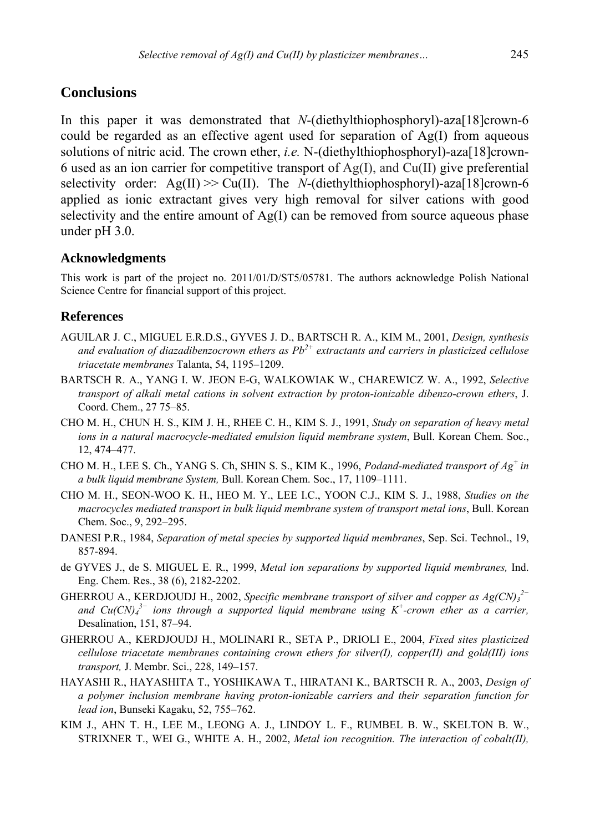## **Conclusions**

In this paper it was demonstrated that *N*-(diethylthiophosphoryl)-aza[18]crown-6 could be regarded as an effective agent used for separation of  $Ag(I)$  from aqueous solutions of nitric acid. The crown ether, *i.e.* N-(diethylthiophosphoryl)-aza[18]crown-6 used as an ion carrier for competitive transport of Ag(I), and Cu(II) give preferential selectivity order:  $Ag(II) \gg Cu(II)$ . The *N*-(diethylthiophosphoryl)-aza[18]crown-6 applied as ionic extractant gives very high removal for silver cations with good selectivity and the entire amount of  $Ag(I)$  can be removed from source aqueous phase under pH 3.0.

#### **Acknowledgments**

This work is part of the project no. 2011/01/D/ST5/05781. The authors acknowledge Polish National Science Centre for financial support of this project.

#### **References**

- AGUILAR J. C., MIGUEL E.R.D.S., GYVES J. D., BARTSCH R. A., KIM M., 2001, *Design, synthesis and evaluation of diazadibenzocrown ethers as Pb2+ extractants and carriers in plasticized cellulose triacetate membranes* Talanta, 54, 1195–1209.
- BARTSCH R. A., YANG I. W. JEON E-G, WALKOWIAK W., CHAREWICZ W. A., 1992, *Selective transport of alkali metal cations in solvent extraction by proton-ionizable dibenzo-crown ethers*, J. Coord. Chem., 27 75–85.
- CHO M. H., CHUN H. S., KIM J. H., RHEE C. H., KIM S. J., 1991, *Study on separation of heavy metal ions in a natural macrocycle-mediated emulsion liquid membrane system*, Bull. Korean Chem. Soc., 12, 474–477.
- CHO M. H., LEE S. Ch., YANG S. Ch, SHIN S. S., KIM K., 1996, *Podand-mediated transport of Ag+ in a bulk liquid membrane System,* Bull. Korean Chem. Soc., 17, 1109–1111.
- CHO M. H., SEON-WOO K. H., HEO M. Y., LEE I.C., YOON C.J., KIM S. J., 1988, *Studies on the macrocycles mediated transport in bulk liquid membrane system of transport metal ions*, Bull. Korean Chem. Soc., 9, 292–295.
- DANESI P.R., 1984, *Separation of metal species by supported liquid membranes*, Sep. Sci. Technol., 19, 857-894.
- de GYVES J., de S. MIGUEL E. R., 1999, *Metal ion separations by supported liquid membranes,* Ind. Eng. Chem. Res., 38 (6), 2182-2202.
- GHERROU A., KERDJOUDJ H., 2002, *Specific membrane transport of silver and copper as*  $Ag(CN)_{3}^{2-}$ *and Cu(CN)4 3− ions through a supported liquid membrane using K+-crown ether as a carrier,* Desalination, 151, 87–94.
- GHERROU A., KERDJOUDJ H., MOLINARI R., SETA P., DRIOLI E., 2004, *Fixed sites plasticized cellulose triacetate membranes containing crown ethers for silver(I), copper(II) and gold(III) ions transport,* J. Membr. Sci., 228, 149–157.
- HAYASHI R., HAYASHITA T., YOSHIKAWA T., HIRATANI K., BARTSCH R. A., 2003, *Design of a polymer inclusion membrane having proton-ionizable carriers and their separation function for lead ion*, Bunseki Kagaku, 52, 755–762.
- KIM J., AHN T. H., LEE M., LEONG A. J., LINDOY L. F., RUMBEL B. W., SKELTON B. W., STRIXNER T., WEI G., WHITE A. H., 2002, *Metal ion recognition. The interaction of cobalt(II),*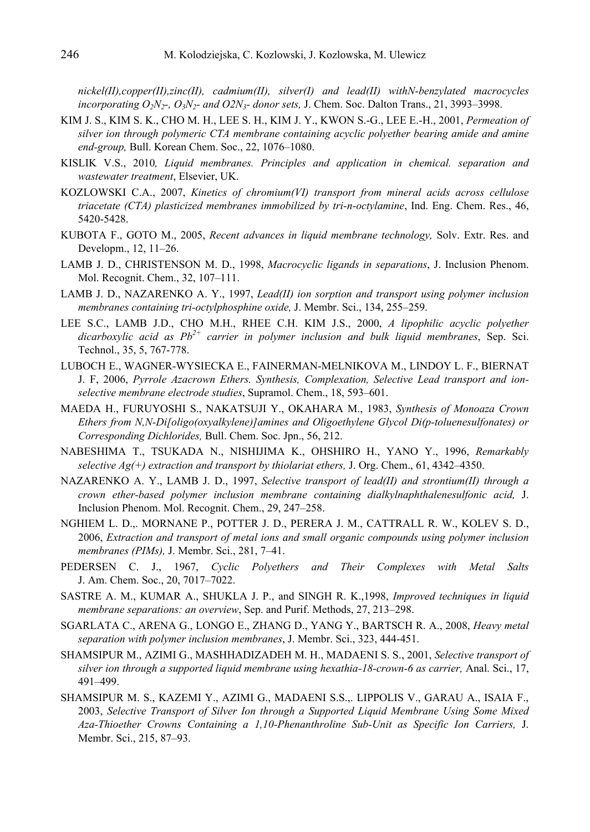*nickel(II),copper(II),zinc(II), cadmium(II), silver(I) and lead(II) withN-benzylated macrocycles incorporating O2N2-, O3N2- and O2N3- donor sets,* J. Chem. Soc. Dalton Trans., 21, 3993–3998.

- KIM J. S., KIM S. K., CHO M. H., LEE S. H., KIM J. Y., KWON S.-G., LEE E.-H., 2001, *Permeation of silver ion through polymeric CTA membrane containing acyclic polyether bearing amide and amine end-group,* Bull. Korean Chem. Soc., 22, 1076–1080.
- KISLIK V.S., 2010*, Liquid membranes. Principles and application in chemical. separation and wastewater treatment*, Elsevier, UK.
- KOZLOWSKI C.A., 2007, *Kinetics of chromium(VI) transport from mineral acids across cellulose triacetate (CTA) plasticized membranes immobilized by tri-n-octylamine*, Ind. Eng. Chem. Res., 46, 5420-5428.
- KUBOTA F., GOTO M., 2005, *Recent advances in liquid membrane technology,* Solv. Extr. Res. and Developm., 12, 11–26.
- LAMB J. D., CHRISTENSON M. D., 1998, *Macrocyclic ligands in separations*, J. Inclusion Phenom. Mol. Recognit. Chem., 32, 107–111.
- LAMB J. D., NAZARENKO A. Y., 1997, *Lead(II) ion sorption and transport using polymer inclusion membranes containing tri-octylphosphine oxide,* J. Membr. Sci., 134, 255–259.
- LEE S.C., LAMB J.D., CHO M.H., RHEE C.H. KIM J.S., 2000, *A lipophilic acyclic polyether*  dicarboxylic acid as Pb<sup>2+</sup> carrier in polymer inclusion and bulk liquid membranes. Sep. Sci. Technol., 35, 5, 767-778.
- LUBOCH E., WAGNER-WYSIECKA E., FAINERMAN-MELNIKOVA M., LINDOY L. F., BIERNAT J. F, 2006, *Pyrrole Azacrown Ethers. Synthesis, Complexation, Selective Lead transport and ionselective membrane electrode studies*, Supramol. Chem., 18, 593–601.
- MAEDA H., FURUYOSHI S., NAKATSUJI Y., OKAHARA M., 1983, *Synthesis of Monoaza Crown Ethers from N,N-Di[oligo(oxyalkylene)]amines and Oligoethylene Glycol Di(p-toluenesulfonates) or Corresponding Dichlorides,* Bull. Chem. Soc. Jpn., 56, 212.
- NABESHIMA T., TSUKADA N., NISHIJIMA K., OHSHIRO H., YANO Y., 1996, *Remarkably selective Ag(+) extraction and transport by thiolariat ethers,* J. Org. Chem., 61, 4342–4350.
- NAZARENKO A. Y., LAMB J. D., 1997, *Selective transport of lead(II) and strontium(II) through a crown ether-based polymer inclusion membrane containing dialkylnaphthalenesulfonic acid,* J. Inclusion Phenom. Mol. Recognit. Chem., 29, 247–258.
- NGHIEM L. D.,. MORNANE P., POTTER J. D., PERERA J. M., CATTRALL R. W., KOLEV S. D., 2006, *Extraction and transport of metal ions and small organic compounds using polymer inclusion membranes (PIMs),* J. Membr. Sci., 281, 7–41.
- PEDERSEN C. J., 1967, *Cyclic Polyethers and Their Complexes with Metal Salts* J. Am. Chem. Soc., 20, 7017–7022.
- SASTRE A. M., KUMAR A., SHUKLA J. P., and SINGH R. K.,1998, *Improved techniques in liquid membrane separations: an overview*, Sep. and Purif. Methods, 27, 213–298.
- SGARLATA C., ARENA G., LONGO E., ZHANG D., YANG Y., BARTSCH R. A., 2008, *Heavy metal separation with polymer inclusion membranes*, J. Membr. Sci., 323, 444-451.
- SHAMSIPUR M., AZIMI G., MASHHADIZADEH M. H., MADAENI S. S., 2001, *Selective transport of silver ion through a supported liquid membrane using hexathia-18-crown-6 as carrier,* Anal. Sci., 17, 491–499.
- SHAMSIPUR M. S., KAZEMI Y., AZIMI G., MADAENI S.S.,. LIPPOLIS V., GARAU A., ISAIA F., 2003, *Selective Transport of Silver Ion through a Supported Liquid Membrane Using Some Mixed Aza-Thioether Crowns Containing a 1,10-Phenanthroline Sub-Unit as Specific Ion Carriers,* J. Membr. Sci., 215, 87–93.